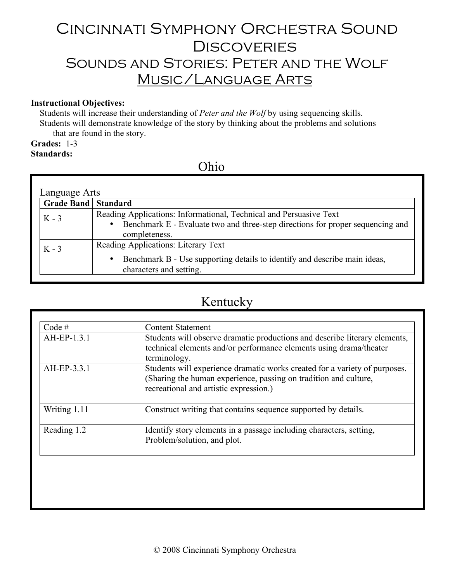# Cincinnati Symphony Orchestra Sound **DISCOVERIES** Sounds and Stories: Peter and the Wolf Music/Language Arts

### **Instructional Objectives:**

Students will increase their understanding of *Peter and the Wolf* by using sequencing skills. Students will demonstrate knowledge of the story by thinking about the problems and solutions that are found in the story.

### **Grades:** 1-3

### **Standards:**

### Ohio

| Language Arts              |                                                                                                                                                                            |  |
|----------------------------|----------------------------------------------------------------------------------------------------------------------------------------------------------------------------|--|
| <b>Grade Band Standard</b> |                                                                                                                                                                            |  |
| $K - 3$                    | Reading Applications: Informational, Technical and Persuasive Text<br>Benchmark E - Evaluate two and three-step directions for proper sequencing and<br>٠<br>completeness. |  |
| $K - 3$                    | Reading Applications: Literary Text<br>Benchmark B - Use supporting details to identify and describe main ideas,<br>٠<br>characters and setting.                           |  |

## Kentucky

| Code #       | <b>Content Statement</b>                                                                                                                                                                 |
|--------------|------------------------------------------------------------------------------------------------------------------------------------------------------------------------------------------|
| AH-EP-1.3.1  | Students will observe dramatic productions and describe literary elements,<br>technical elements and/or performance elements using drama/theater<br>terminology.                         |
| AH-EP-3.3.1  | Students will experience dramatic works created for a variety of purposes.<br>(Sharing the human experience, passing on tradition and culture,<br>recreational and artistic expression.) |
| Writing 1.11 | Construct writing that contains sequence supported by details.                                                                                                                           |
| Reading 1.2  | Identify story elements in a passage including characters, setting,<br>Problem/solution, and plot.                                                                                       |